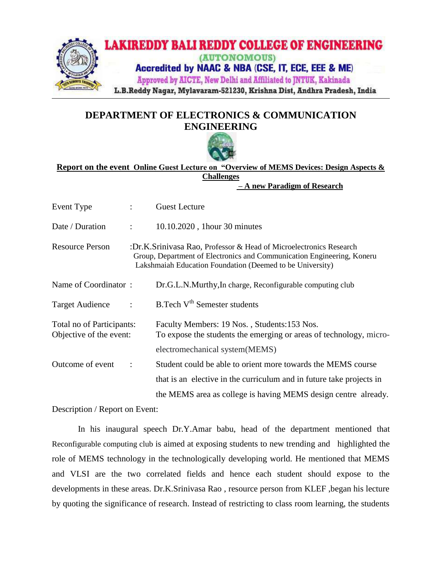

## **DEPARTMENT OF ELECTRONICS & COMMUNICATION ENGINEERING**



## **Report on the event Online Guest Lecture on "Overview of MEMS Devices: Design Aspects & Challenges**

 **– A new Paradigm of Research**

| Event Type                                           |              | <b>Guest Lecture</b>                                                                                                                                                                                      |
|------------------------------------------------------|--------------|-----------------------------------------------------------------------------------------------------------------------------------------------------------------------------------------------------------|
| Date / Duration                                      | ÷            | 10.10.2020, 1hour 30 minutes                                                                                                                                                                              |
| <b>Resource Person</b>                               |              | :Dr.K.Srinivasa Rao, Professor & Head of Microelectronics Research<br>Group, Department of Electronics and Communication Engineering, Koneru<br>Lakshmaiah Education Foundation (Deemed to be University) |
| Name of Coordinator:                                 |              | Dr.G.L.N.Murthy, In charge, Reconfigurable computing club                                                                                                                                                 |
| <b>Target Audience</b>                               | $\mathbf{L}$ | B.Tech V <sup>th</sup> Semester students                                                                                                                                                                  |
| Total no of Participants:<br>Objective of the event: |              | Faculty Members: 19 Nos., Students: 153 Nos.<br>To expose the students the emerging or areas of technology, micro-                                                                                        |
|                                                      |              | electromechanical system(MEMS)                                                                                                                                                                            |
| Outcome of event                                     |              | Student could be able to orient more towards the MEMS course                                                                                                                                              |
|                                                      |              | that is an elective in the curriculum and in future take projects in                                                                                                                                      |
|                                                      |              | the MEMS area as college is having MEMS design centre already.                                                                                                                                            |

Description / Report on Event:

In his inaugural speech Dr.Y.Amar babu, head of the department mentioned that Reconfigurable computing club is aimed at exposing students to new trending and highlighted the role of MEMS technology in the technologically developing world. He mentioned that MEMS and VLSI are the two correlated fields and hence each student should expose to the developments in these areas. Dr.K.Srinivasa Rao , resource person from KLEF ,began his lecture by quoting the significance of research. Instead of restricting to class room learning, the students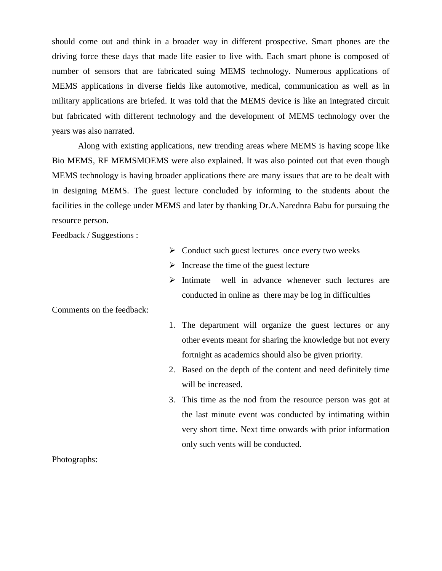should come out and think in a broader way in different prospective. Smart phones are the driving force these days that made life easier to live with. Each smart phone is composed of number of sensors that are fabricated suing MEMS technology. Numerous applications of MEMS applications in diverse fields like automotive, medical, communication as well as in military applications are briefed. It was told that the MEMS device is like an integrated circuit but fabricated with different technology and the development of MEMS technology over the years was also narrated.

Along with existing applications, new trending areas where MEMS is having scope like Bio MEMS, RF MEMSMOEMS were also explained. It was also pointed out that even though MEMS technology is having broader applications there are many issues that are to be dealt with in designing MEMS. The guest lecture concluded by informing to the students about the facilities in the college under MEMS and later by thanking Dr.A.Narednra Babu for pursuing the resource person.

Feedback / Suggestions :

- $\triangleright$  Conduct such guest lectures once every two weeks
- $\triangleright$  Increase the time of the guest lecture
- $\triangleright$  Intimate well in advance whenever such lectures are conducted in online as there may be log in difficulties

Comments on the feedback:

- 1. The department will organize the guest lectures or any other events meant for sharing the knowledge but not every fortnight as academics should also be given priority.
- 2. Based on the depth of the content and need definitely time will be increased.
- 3. This time as the nod from the resource person was got at the last minute event was conducted by intimating within very short time. Next time onwards with prior information only such vents will be conducted.

Photographs: